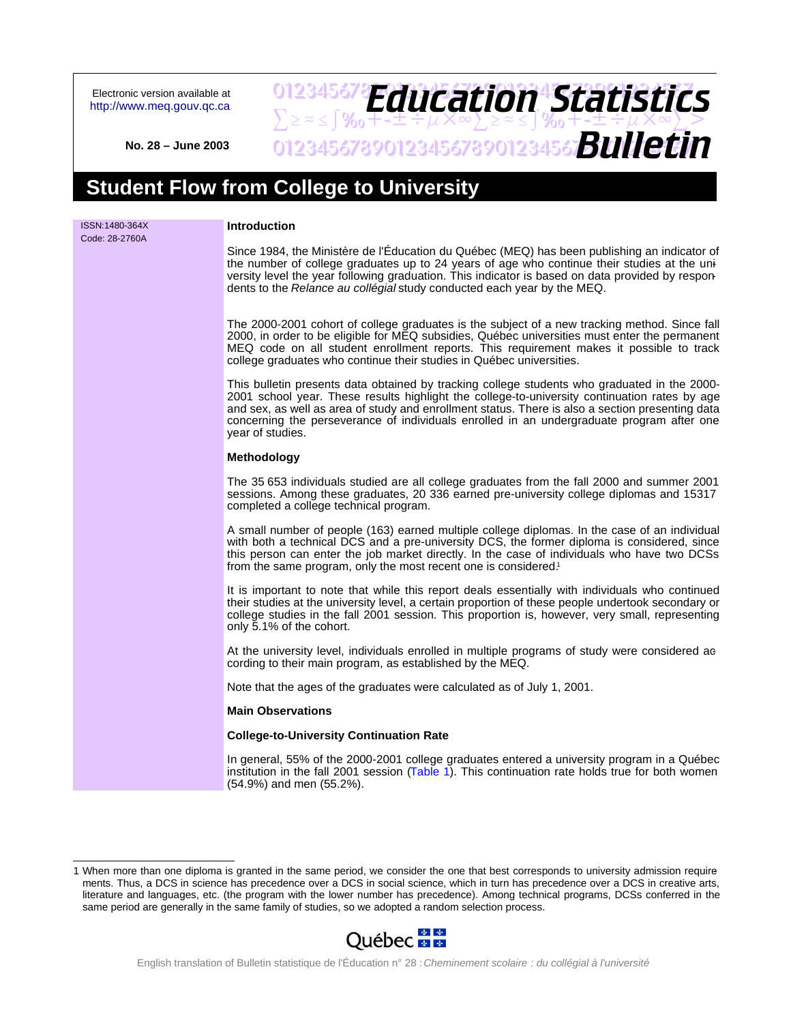Electronic version available at <http://www.meq.gouv.qc.ca>

## 012345678**PH11Fation45fatictir**  $\sum z \approx 5$ % $\sqrt{3}$   $\sqrt{4}$   $\sqrt{4}$   $\sqrt{4}$   $\sqrt{4}$   $\sqrt{2}$   $\approx 2$   $\sqrt{2}$   $\sqrt{2}$ 0123456789012345678901234567**8UIICTI** *Education Statistics Bulletin*

**No. 28 – June 2003**

# **Student Flow from College to University**

| ISSN:1480-364X<br>Code: 28-2760A | Introduction                                                                                                                                                                                                                                                                                                                                                                                                       |
|----------------------------------|--------------------------------------------------------------------------------------------------------------------------------------------------------------------------------------------------------------------------------------------------------------------------------------------------------------------------------------------------------------------------------------------------------------------|
|                                  | Since 1984, the Ministère de l'Éducation du Québec (MEQ) has been publishing an indicator of<br>the number of college graduates up to 24 years of age who continue their studies at the uni-<br>versity level the year following graduation. This indicator is based on data provided by respon-<br>dents to the Relance au collégial study conducted each year by the MEQ.                                        |
|                                  | The 2000-2001 cohort of college graduates is the subject of a new tracking method. Since fall<br>2000, in order to be eligible for MEQ subsidies, Québec universities must enter the permanent<br>MEQ code on all student enrollment reports. This requirement makes it possible to track<br>college graduates who continue their studies in Québec universities.                                                  |
|                                  | This bulletin presents data obtained by tracking college students who graduated in the 2000-<br>2001 school year. These results highlight the college-to-university continuation rates by age<br>and sex, as well as area of study and enrollment status. There is also a section presenting data<br>concerning the perseverance of individuals enrolled in an undergraduate program after one<br>year of studies. |
|                                  | <b>Methodology</b>                                                                                                                                                                                                                                                                                                                                                                                                 |
|                                  | The 35 653 individuals studied are all college graduates from the fall 2000 and summer 2001<br>sessions. Among these graduates, 20 336 earned pre-university college diplomas and 15317<br>completed a college technical program.                                                                                                                                                                                  |
|                                  | A small number of people (163) earned multiple college diplomas. In the case of an individual<br>with both a technical DCS and a pre-university DCS, the former diploma is considered, since<br>this person can enter the job market directly. In the case of individuals who have two DCSs<br>from the same program, only the most recent one is considered. <sup>1</sup>                                         |
|                                  | It is important to note that while this report deals essentially with individuals who continued<br>their studies at the university level, a certain proportion of these people undertook secondary or<br>college studies in the fall 2001 session. This proportion is, however, very small, representing<br>only 5.1% of the cohort.                                                                               |
|                                  | At the university level, individuals enrolled in multiple programs of study were considered ae<br>cording to their main program, as established by the MEQ.                                                                                                                                                                                                                                                        |
|                                  | Note that the ages of the graduates were calculated as of July 1, 2001.                                                                                                                                                                                                                                                                                                                                            |
|                                  | <b>Main Observations</b>                                                                                                                                                                                                                                                                                                                                                                                           |
|                                  | <b>College-to-University Continuation Rate</b>                                                                                                                                                                                                                                                                                                                                                                     |
|                                  | In general, 55% of the 2000-2001 college graduates entered a university program in a Québec<br>institution in the fall 2001 session (Table 1). This continuation rate holds true for both women<br>(54.9%) and men (55.2%).                                                                                                                                                                                        |

<sup>1</sup> When more than one diploma is granted in the same period, we consider the one that best corresponds to university admission requirements. Thus, a DCS in science has precedence over a DCS in social science, which in turn has precedence over a DCS in creative arts, literature and languages, etc. (the program with the lower number has precedence). Among technical programs, DCSs conferred in the same period are generally in the same family of studies, so we adopted a random selection process.

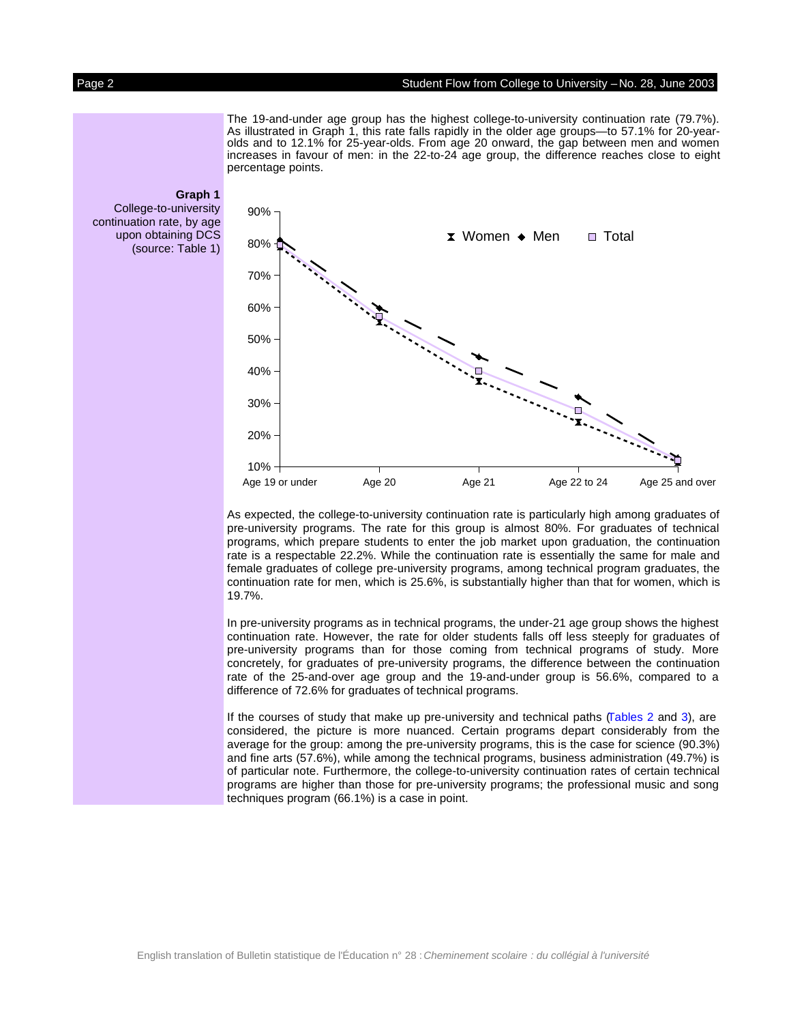#### Page 2 Student Flow from College to University –No. 28, June 2003

The 19-and-under age group has the highest college-to-university continuation rate (79.7%). As illustrated in Graph 1, this rate falls rapidly in the older age groups—to 57.1% for 20-yearolds and to 12.1% for 25-year-olds. From age 20 onward, the gap between men and women increases in favour of men: in the 22-to-24 age group, the difference reaches close to eight percentage points.



As expected, the college-to-university continuation rate is particularly high among graduates of pre-university programs. The rate for this group is almost 80%. For graduates of technical programs, which prepare students to enter the job market upon graduation, the continuation rate is a respectable 22.2%. While the continuation rate is essentially the same for male and female graduates of college pre-university programs, among technical program graduates, the continuation rate for men, which is 25.6%, is substantially higher than that for women, which is 19.7%.

In pre-university programs as in technical programs, the under-21 age group shows the highest continuation rate. However, the rate for older students falls off less steeply for graduates of pre-university programs than for those coming from technical programs of study. More concretely, for graduates of pre-university programs, the difference between the continuation rate of the 25-and-over age group and the 19-and-under group is 56.6%, compared to a difference of 72.6% for graduates of technical programs.

If the courses of study that make up pre-university and technical paths [\(Tables](#page-6-0) 2 and [3\),](#page-7-0) are considered, the picture is more nuanced. Certain programs depart considerably from the average for the group: among the pre-university programs, this is the case for science (90.3%) and fine arts (57.6%), while among the technical programs, business administration (49.7%) is of particular note. Furthermore, the college-to-university continuation rates of certain technical programs are higher than those for pre-university programs; the professional music and song techniques program (66.1%) is a case in point.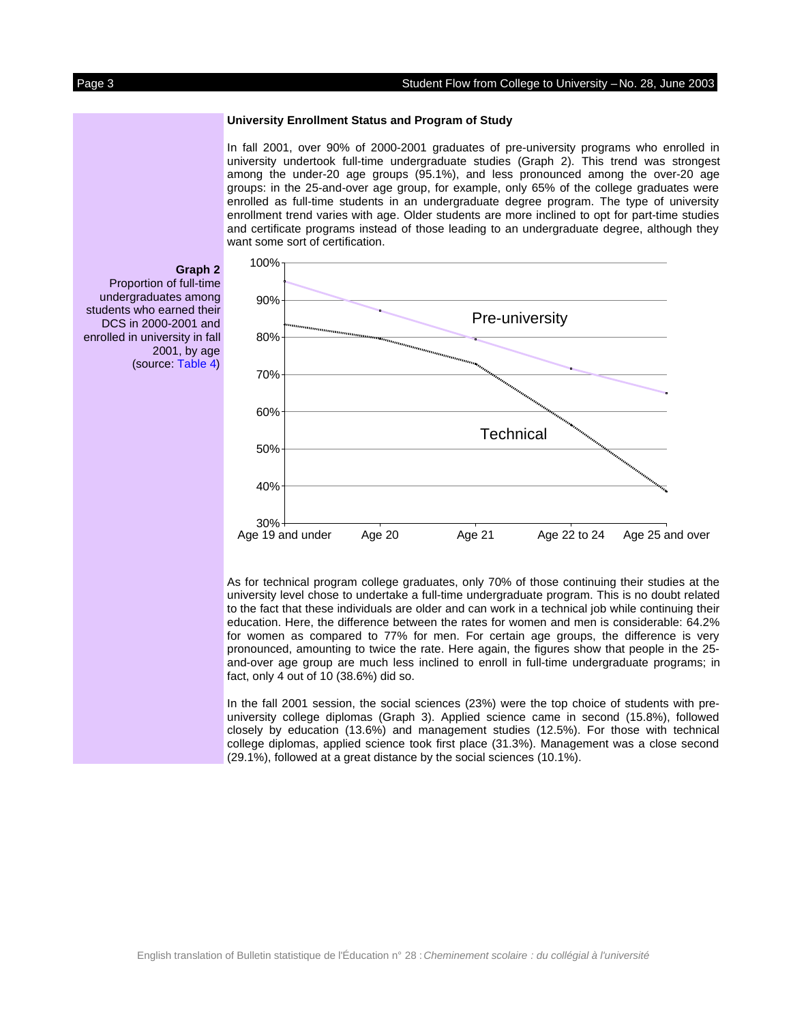#### Page 3 Student Flow from College to University –No. 28, June 2003

#### **University Enrollment Status and Program of Study**

In fall 2001, over 90% of 2000-2001 graduates of pre-university programs who enrolled in university undertook full-time undergraduate studies (Graph 2). This trend was strongest among the under-20 age groups (95.1%), and less pronounced among the over-20 age groups: in the 25-and-over age group, for example, only 65% of the college graduates were enrolled as full-time students in an undergraduate degree program. The type of university enrollment trend varies with age. Older students are more inclined to opt for part-time studies and certificate programs instead of those leading to an undergraduate degree, although they want some sort of certification.



As for technical program college graduates, only 70% of those continuing their studies at the university level chose to undertake a full-time undergraduate program. This is no doubt related to the fact that these individuals are older and can work in a technical job while continuing their education. Here, the difference between the rates for women and men is considerable: 64.2% for women as compared to 77% for men. For certain age groups, the difference is very pronounced, amounting to twice the rate. Here again, the figures show that people in the 25 and-over age group are much less inclined to enroll in full-time undergraduate programs; in fact, only 4 out of 10 (38.6%) did so.

In the fall 2001 session, the social sciences (23%) were the top choice of students with preuniversity college diplomas (Graph 3). Applied science came in second (15.8%), followed closely by education (13.6%) and management studies (12.5%). For those with technical college diplomas, applied science took first place (31.3%). Management was a close second (29.1%), followed at a great distance by the social sciences (10.1%).

**Graph 2**

2001, by age (source: [Table](#page-8-0) 4)

Proportion of full-time undergraduates among students who earned their DCS in 2000-2001 and enrolled in university in fall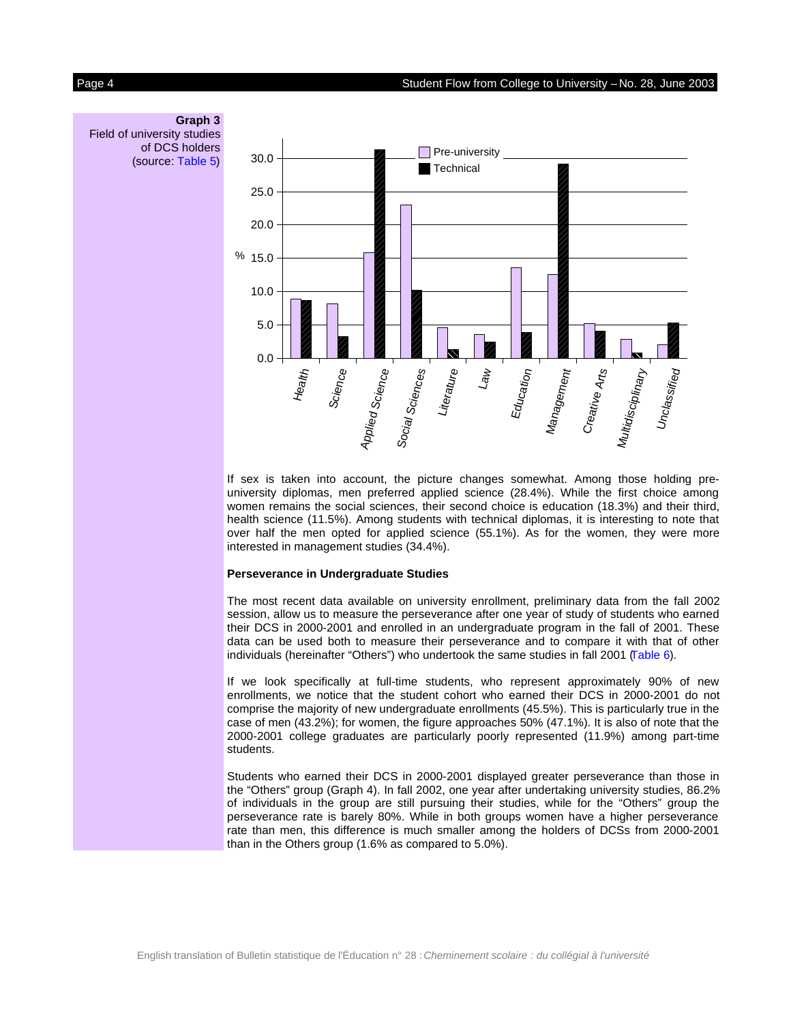

If sex is taken into account, the picture changes somewhat. Among those holding preuniversity diplomas, men preferred applied science (28.4%). While the first choice among women remains the social sciences, their second choice is education (18.3%) and their third, health science (11.5%). Among students with technical diplomas, it is interesting to note that over half the men opted for applied science (55.1%). As for the women, they were more interested in management studies (34.4%).

#### **Perseverance in Undergraduate Studies**

The most recent data available on university enrollment, preliminary data from the fall 2002 session, allow us to measure the perseverance after one year of study of students who earned their DCS in 2000-2001 and enrolled in an undergraduate program in the fall of 2001. These data can be used both to measure their perseverance and to compare it with that of other individuals (hereinafter "Others") who undertook the same studies in fall 2001 [\(Table](#page-10-0) 6).

If we look specifically at full-time students, who represent approximately 90% of new enrollments, we notice that the student cohort who earned their DCS in 2000-2001 do not comprise the majority of new undergraduate enrollments (45.5%). This is particularly true in the case of men (43.2%); for women, the figure approaches 50% (47.1%). It is also of note that the 2000-2001 college graduates are particularly poorly represented (11.9%) among part-time students.

Students who earned their DCS in 2000-2001 displayed greater perseverance than those in the "Others" group (Graph 4). In fall 2002, one year after undertaking university studies, 86.2% of individuals in the group are still pursuing their studies, while for the "Others" group the perseverance rate is barely 80%. While in both groups women have a higher perseverance rate than men, this difference is much smaller among the holders of DCSs from 2000-2001 than in the Others group (1.6% as compared to 5.0%).

**Graph 3** Field of university studies of DCS holders (source: [Table](#page-9-0) 5)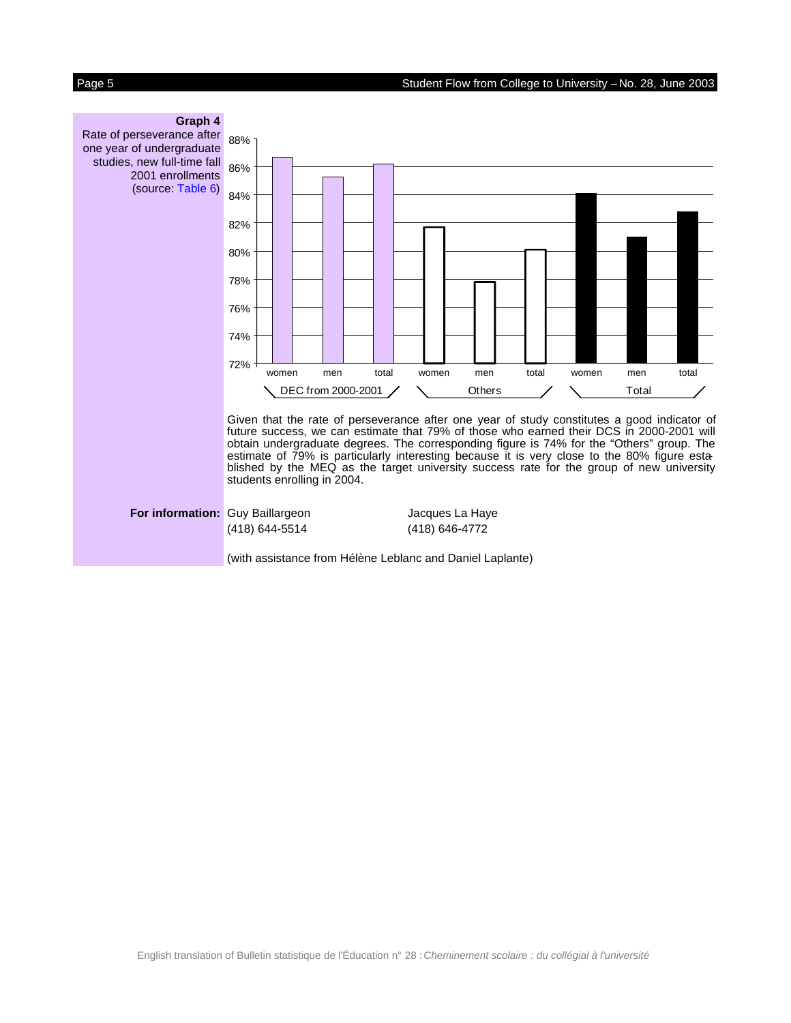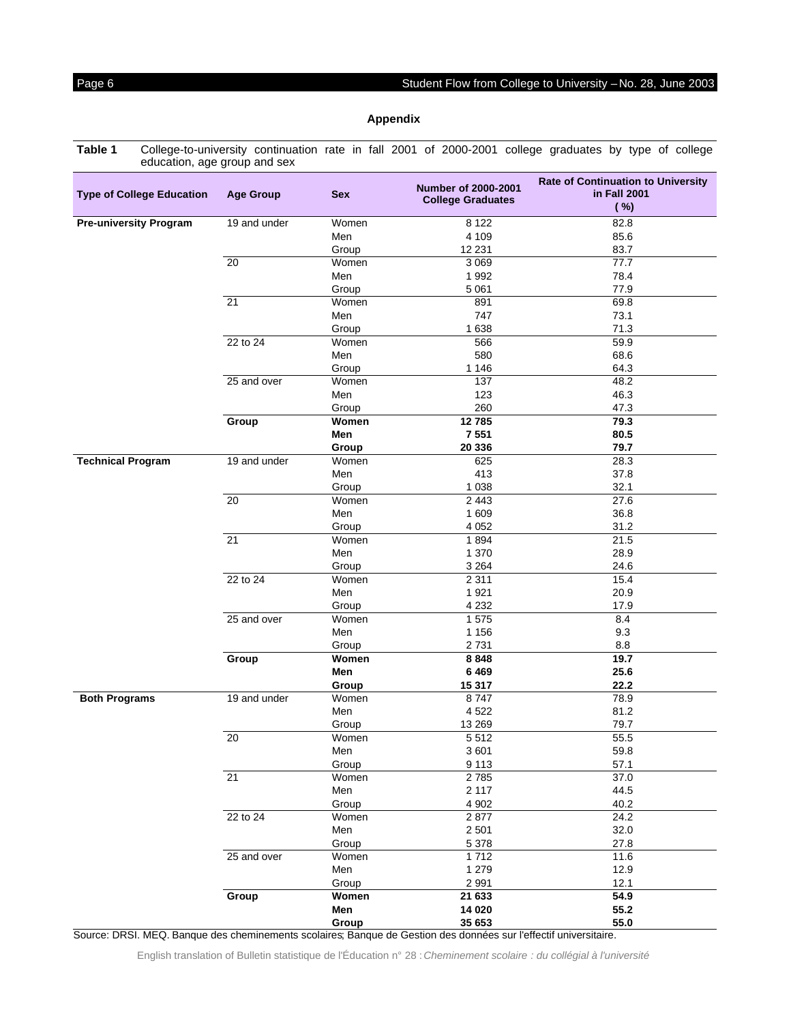<span id="page-5-0"></span>**Table 1** College-to-university continuation rate in fall 2001 of 2000-2001 college graduates by type of college education, age group and sex

| <b>Type of College Education</b> | <b>Age Group</b> | <b>Sex</b> | Number of 2000-2001<br><b>College Graduates</b> | <b>Rate of Continuation to University</b><br>in Fall 2001<br>( %) |
|----------------------------------|------------------|------------|-------------------------------------------------|-------------------------------------------------------------------|
| <b>Pre-university Program</b>    | 19 and under     | Women      | 8 1 2 2                                         | 82.8                                                              |
|                                  |                  | Men        | 4 1 0 9                                         | 85.6                                                              |
|                                  |                  | Group      | 12 2 31                                         | 83.7                                                              |
|                                  | $\overline{20}$  | Women      | 3 0 6 9                                         | 77.7                                                              |
|                                  |                  | Men        | 1992                                            | 78.4                                                              |
|                                  |                  | Group      | 5 0 6 1                                         | 77.9                                                              |
|                                  | $\overline{21}$  | Women      | 891                                             | 69.8                                                              |
|                                  |                  | Men        | 747                                             | 73.1                                                              |
|                                  |                  | Group      | 1638                                            | 71.3                                                              |
|                                  | 22 to 24         | Women      | 566                                             | 59.9                                                              |
|                                  |                  | Men        | 580                                             | 68.6                                                              |
|                                  |                  | Group      | 1 1 4 6                                         | 64.3                                                              |
|                                  | 25 and over      | Women      | 137                                             | 48.2                                                              |
|                                  |                  | Men        | 123                                             | 46.3                                                              |
|                                  |                  | Group      | 260                                             | 47.3                                                              |
|                                  | Group            | Women      | 12785                                           | 79.3                                                              |
|                                  |                  | Men        | 7 5 5 1                                         | 80.5                                                              |
|                                  |                  | Group      | 20 336                                          | 79.7                                                              |
| <b>Technical Program</b>         | 19 and under     | Women      | 625                                             | 28.3                                                              |
|                                  |                  | Men        | 413                                             | 37.8                                                              |
|                                  |                  | Group      | 1 0 38                                          | 32.1                                                              |
|                                  | $\overline{20}$  | Women      | 2 4 4 3                                         | 27.6                                                              |
|                                  |                  | Men        | 1 609                                           | 36.8                                                              |
|                                  |                  | Group      | 4 0 5 2                                         | 31.2                                                              |
|                                  | $\overline{21}$  | Women      | 1894                                            | 21.5                                                              |
|                                  |                  | Men        | 1 370                                           | 28.9                                                              |
|                                  |                  | Group      | 3 2 6 4                                         | 24.6                                                              |
|                                  | 22 to 24         | Women      | 2 3 1 1                                         | 15.4                                                              |
|                                  |                  | Men        | 1921                                            | 20.9                                                              |
|                                  |                  | Group      | 4 2 3 2                                         | 17.9                                                              |
|                                  | 25 and over      | Women      | 1575                                            | 8.4                                                               |
|                                  |                  | Men        | 1 1 5 6                                         | 9.3                                                               |
|                                  |                  | Group      | 2731                                            | 8.8                                                               |
|                                  | Group            | Women      | 8848                                            | 19.7                                                              |
|                                  |                  | Men        | 6469                                            | 25.6                                                              |
|                                  |                  | Group      | 15 317                                          | 22.2                                                              |
| <b>Both Programs</b>             | 19 and under     | Women      | 8747                                            | 78.9                                                              |
|                                  |                  | Men        | 4 5 22                                          | 81.2                                                              |
|                                  |                  | Group      | 13 269                                          | 79.7                                                              |
|                                  | 20               | Women      | 5512                                            | 55.5                                                              |
|                                  |                  | Men        | 3601                                            | 59.8                                                              |
|                                  |                  | Group      | 9 1 1 3                                         | 57.1                                                              |
|                                  | 21               | Women      | 2785                                            | 37.0                                                              |
|                                  |                  | Men        | 2 1 1 7                                         | 44.5                                                              |
|                                  |                  | Group      | 4 9 0 2                                         | 40.2                                                              |
|                                  | 22 to 24         | Women      | 2877                                            | 24.2                                                              |
|                                  |                  | Men        | 2 5 0 1                                         | 32.0                                                              |
|                                  |                  | Group      | 5 3 7 8                                         | 27.8                                                              |
|                                  | 25 and over      | Women      | 1712                                            | 11.6                                                              |
|                                  |                  | Men        | 1 2 7 9                                         | 12.9                                                              |
|                                  |                  | Group      | 2 9 9 1                                         | 12.1                                                              |
|                                  | Group            | Women      | 21 633                                          | 54.9                                                              |
|                                  |                  | Men        | 14 0 20                                         | 55.2                                                              |
|                                  |                  | Group      | 35 653                                          | 55.0                                                              |

Source: DRSI. MEQ. Banque des cheminements scolaires; Banque de Gestion des données sur l'effectif universitaire.

English translation of Bulletin statistique de l'Éducation n° 28 : Cheminement scolaire : du collégial à l'université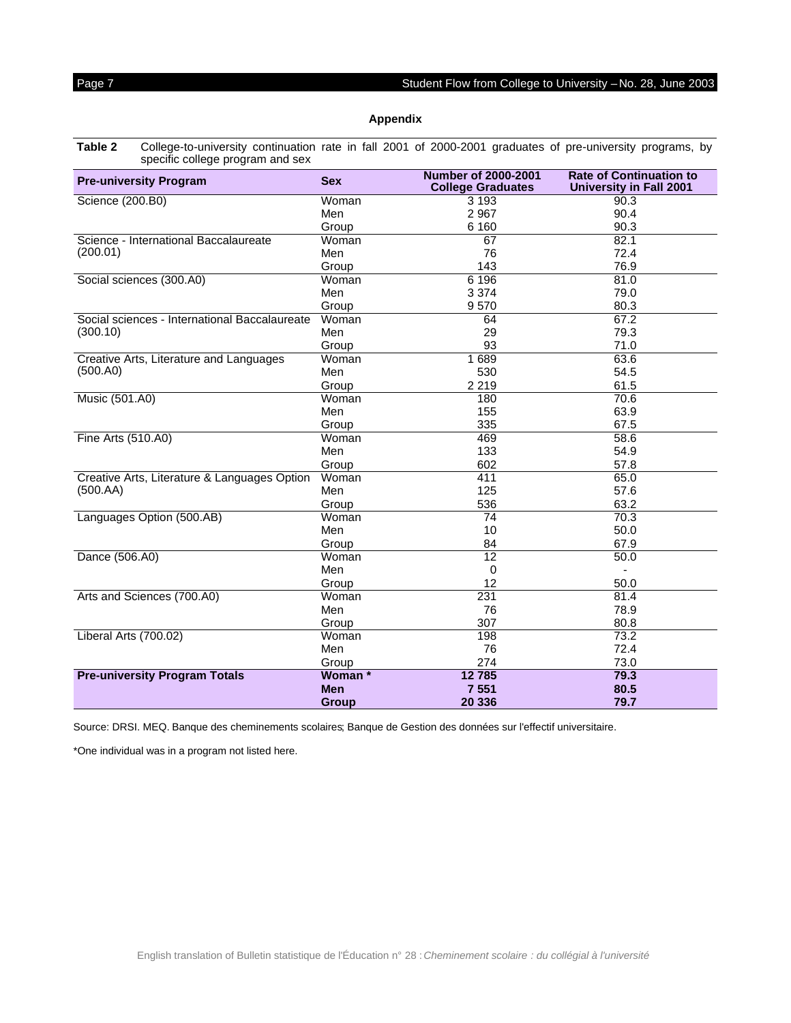<span id="page-6-0"></span>**Table 2** College-to-university continuation rate in fall 2001 of 2000-2001 graduates of pre-university programs, by specific college program and sex

| <b>Pre-university Program</b>                 | <b>Sex</b>   | <b>Number of 2000-2001</b><br><b>College Graduates</b> | <b>Rate of Continuation to</b><br><b>University in Fall 2001</b> |
|-----------------------------------------------|--------------|--------------------------------------------------------|------------------------------------------------------------------|
| Science (200.B0)                              | Woman        | 3 1 9 3                                                | 90.3                                                             |
|                                               | Men          | 2967                                                   | 90.4                                                             |
|                                               | Group        | 6 1 6 0                                                | 90.3                                                             |
| Science - International Baccalaureate         | Woman        | 67                                                     | 82.1                                                             |
| (200.01)                                      | Men          | 76                                                     | 72.4                                                             |
|                                               | Group        | 143                                                    | 76.9                                                             |
| Social sciences (300.A0)                      | Woman        | 6 196                                                  | 81.0                                                             |
|                                               | Men          | 3 3 7 4                                                | 79.0                                                             |
|                                               | Group        | 9570                                                   | 80.3                                                             |
| Social sciences - International Baccalaureate | Woman        | 64                                                     | 67.2                                                             |
| (300.10)                                      | Men          | 29                                                     | 79.3                                                             |
|                                               | Group        | 93                                                     | 71.0                                                             |
| Creative Arts, Literature and Languages       | Woman        | 1689                                                   | 63.6                                                             |
| (500.A0)                                      | Men          | 530                                                    | 54.5                                                             |
|                                               | Group        | 2 2 1 9                                                | 61.5                                                             |
| Music (501.A0)                                | Woman        | 180                                                    | 70.6                                                             |
|                                               | Men          | 155                                                    | 63.9                                                             |
|                                               | Group        | 335                                                    | 67.5                                                             |
| Fine Arts (510.A0)                            | Woman        | 469                                                    | 58.6                                                             |
|                                               | Men          | 133                                                    | 54.9                                                             |
|                                               | Group        | 602                                                    | 57.8                                                             |
| Creative Arts, Literature & Languages Option  | Woman        | 411                                                    | 65.0                                                             |
| (500.AA)                                      | Men          | 125                                                    | 57.6                                                             |
|                                               | Group        | 536                                                    | 63.2                                                             |
| Languages Option (500.AB)                     | Woman        | 74                                                     | 70.3                                                             |
|                                               | Men          | 10                                                     | 50.0                                                             |
|                                               | Group        | 84                                                     | 67.9                                                             |
| Dance (506.A0)                                | Woman        | 12                                                     | 50.0                                                             |
|                                               | Men          | $\mathbf 0$                                            | $\blacksquare$                                                   |
|                                               | Group        | 12                                                     | 50.0                                                             |
| Arts and Sciences (700.A0)                    | Woman        | 231                                                    | 81.4                                                             |
|                                               | Men          | 76                                                     | 78.9                                                             |
|                                               | Group        | 307                                                    | 80.8                                                             |
| Liberal Arts (700.02)                         | Woman        | 198                                                    | 73.2                                                             |
|                                               | Men          | 76                                                     | 72.4                                                             |
|                                               | Group        | 274                                                    | 73.0                                                             |
| <b>Pre-university Program Totals</b>          | Woman *      | 12785                                                  | 79.3                                                             |
|                                               | <b>Men</b>   | 7 5 5 1                                                | 80.5                                                             |
|                                               | <b>Group</b> | 20 336                                                 | 79.7                                                             |

Source: DRSI. MEQ. Banque des cheminements scolaires; Banque de Gestion des données sur l'effectif universitaire.

\*One individual was in a program not listed here.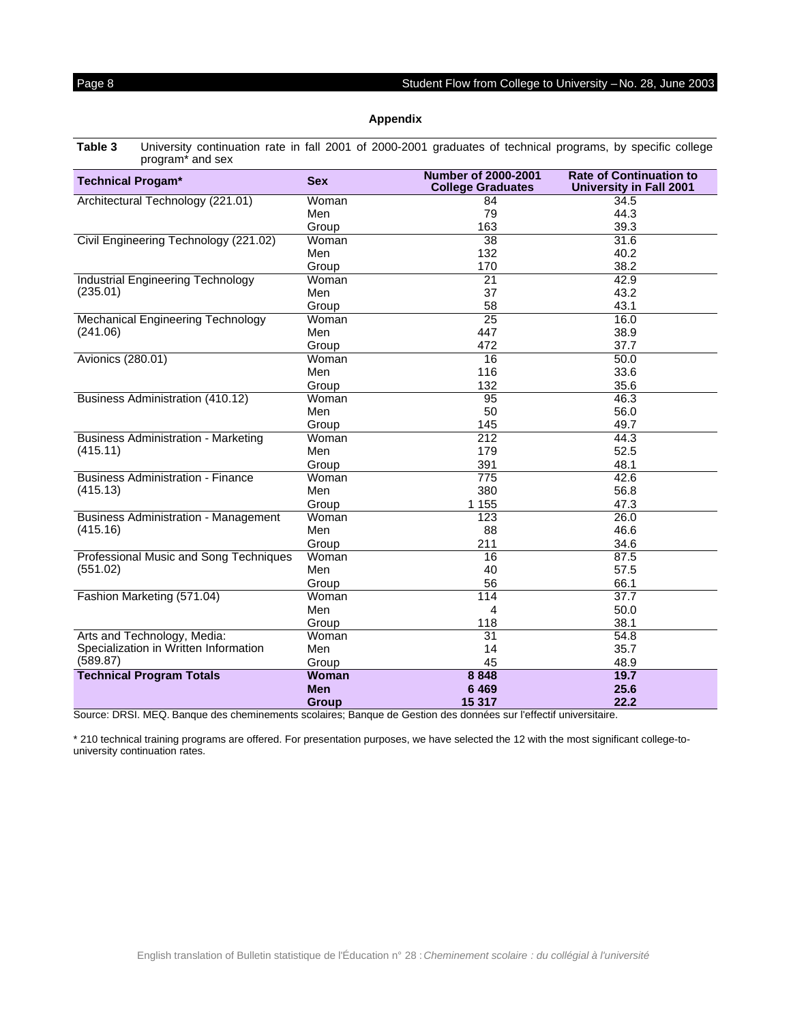<span id="page-7-0"></span>**Table 3** University continuation rate in fall 2001 of 2000-2001 graduates of technical programs, by specific college program\* and sex

| <b>Technical Progam*</b>                    | <b>Sex</b>   | <b>Number of 2000-2001</b><br><b>College Graduates</b> | <b>Rate of Continuation to</b><br><b>University in Fall 2001</b> |
|---------------------------------------------|--------------|--------------------------------------------------------|------------------------------------------------------------------|
| Architectural Technology (221.01)           | Woman        | 84                                                     | 34.5                                                             |
|                                             | Men          | 79                                                     | 44.3                                                             |
|                                             | Group        | 163                                                    | 39.3                                                             |
| Civil Engineering Technology (221.02)       | Woman        | 38                                                     | 31.6                                                             |
|                                             | Men          | 132                                                    | 40.2                                                             |
|                                             | Group        | 170                                                    | 38.2                                                             |
| <b>Industrial Engineering Technology</b>    | Woman        | 21                                                     | 42.9                                                             |
| (235.01)                                    | Men          | 37                                                     | 43.2                                                             |
|                                             | Group        | 58                                                     | 43.1                                                             |
| <b>Mechanical Engineering Technology</b>    | Woman        | 25                                                     | 16.0                                                             |
| (241.06)                                    | Men          | 447                                                    | 38.9                                                             |
|                                             | Group        | 472                                                    | 37.7                                                             |
| Avionics (280.01)                           | Woman        | 16                                                     | 50.0                                                             |
|                                             | Men          | 116                                                    | 33.6                                                             |
|                                             | Group        | 132                                                    | 35.6                                                             |
| Business Administration (410.12)            | Woman        | 95                                                     | 46.3                                                             |
|                                             | Men          | 50                                                     | 56.0                                                             |
|                                             | Group        | 145                                                    | 49.7                                                             |
| <b>Business Administration - Marketing</b>  | Woman        | 212                                                    | 44.3                                                             |
| (415.11)                                    | Men          | 179                                                    | 52.5                                                             |
|                                             | Group        | 391                                                    | 48.1                                                             |
| <b>Business Administration - Finance</b>    | Woman        | 775                                                    | 42.6                                                             |
| (415.13)                                    | Men          | 380                                                    | 56.8                                                             |
|                                             | Group        | 1 1 5 5                                                | 47.3                                                             |
| <b>Business Administration - Management</b> | Woman        | 123                                                    | 26.0                                                             |
| (415.16)                                    | Men          | 88                                                     | 46.6                                                             |
|                                             | Group        | 211                                                    | 34.6                                                             |
| Professional Music and Song Techniques      | Woman        | 16                                                     | 87.5                                                             |
| (551.02)                                    | Men          | 40                                                     | 57.5                                                             |
|                                             | Group        | 56                                                     | 66.1                                                             |
| Fashion Marketing (571.04)                  | Woman        | 114                                                    | 37.7                                                             |
|                                             | Men          | 4                                                      | 50.0                                                             |
|                                             | Group        | 118                                                    | 38.1                                                             |
| Arts and Technology, Media:                 | Woman        | 31                                                     | 54.8                                                             |
| Specialization in Written Information       | Men          | 14                                                     | 35.7                                                             |
| (589.87)                                    | Group        | 45                                                     | 48.9                                                             |
| <b>Technical Program Totals</b>             | <b>Woman</b> | 8 8 4 8                                                | 19.7                                                             |
|                                             | <b>Men</b>   | 6469                                                   | 25.6                                                             |
|                                             | <b>Group</b> | 15 317                                                 | 22.2                                                             |

Source: DRSI. MEQ. Banque des cheminements scolaires; Banque de Gestion des données sur l'effectif universitaire.

\* 210 technical training programs are offered. For presentation purposes, we have selected the 12 with the most significant college-touniversity continuation rates.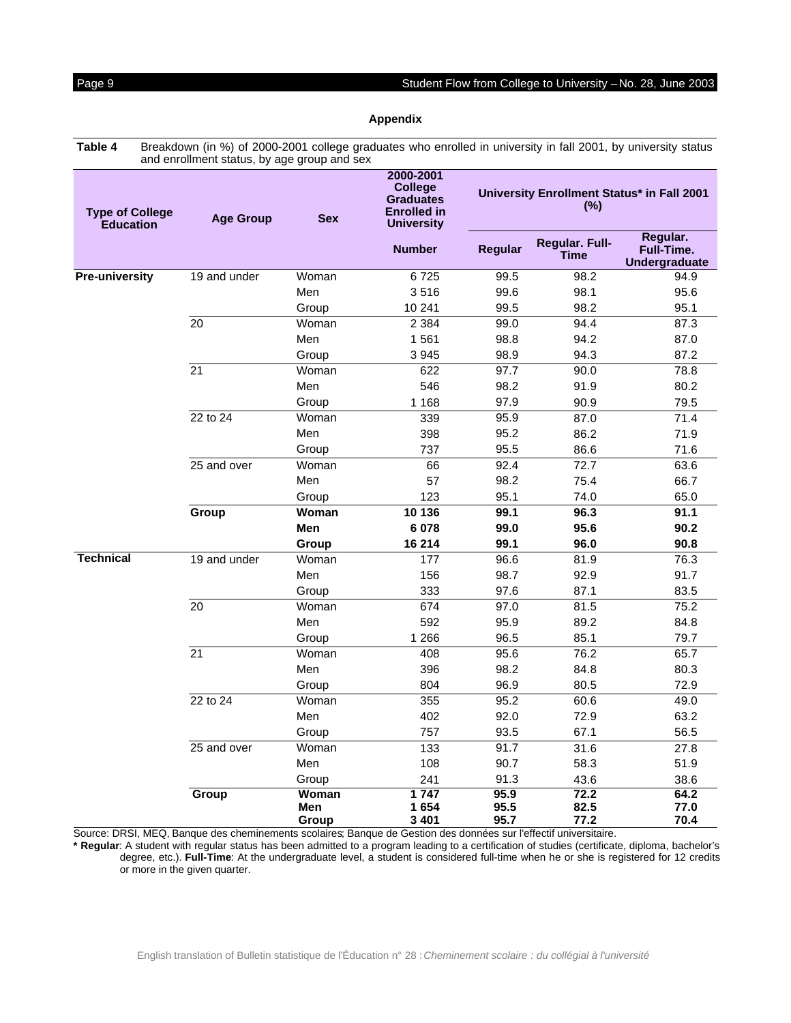<span id="page-8-0"></span>**Table 4** Breakdown (in %) of 2000-2001 college graduates who enrolled in university in fall 2001, by university status and enrollment status, by age group and sex

| <b>Type of College</b><br><b>Education</b> | <b>Age Group</b> | <b>Sex</b>   | 2000-2001<br><b>College</b><br><b>Graduates</b><br><b>Enrolled in</b><br><b>University</b> | University Enrollment Status* in Fall 2001<br>$(\%)$ |                               |                                                |
|--------------------------------------------|------------------|--------------|--------------------------------------------------------------------------------------------|------------------------------------------------------|-------------------------------|------------------------------------------------|
|                                            |                  |              | <b>Number</b>                                                                              | <b>Regular</b>                                       | Regular. Full-<br><b>Time</b> | Regular.<br>Full-Time.<br><b>Undergraduate</b> |
| <b>Pre-university</b>                      | 19 and under     | Woman        | 6725                                                                                       | 99.5                                                 | 98.2                          | 94.9                                           |
|                                            |                  | Men          | 3516                                                                                       | 99.6                                                 | 98.1                          | 95.6                                           |
|                                            |                  | Group        | 10 241                                                                                     | 99.5                                                 | 98.2                          | 95.1                                           |
|                                            | 20               | Woman        | 2 3 8 4                                                                                    | 99.0                                                 | 94.4                          | 87.3                                           |
|                                            |                  | Men          | 1561                                                                                       | 98.8                                                 | 94.2                          | 87.0                                           |
|                                            |                  | Group        | 3 9 4 5                                                                                    | 98.9                                                 | 94.3                          | 87.2                                           |
|                                            | 21               | Woman        | 622                                                                                        | 97.7                                                 | 90.0                          | 78.8                                           |
|                                            |                  | Men          | 546                                                                                        | 98.2                                                 | 91.9                          | 80.2                                           |
|                                            |                  | Group        | 1 1 6 8                                                                                    | 97.9                                                 | 90.9                          | 79.5                                           |
|                                            | 22 to 24         | Woman        | 339                                                                                        | 95.9                                                 | 87.0                          | 71.4                                           |
|                                            |                  | Men          | 398                                                                                        | 95.2                                                 | 86.2                          | 71.9                                           |
|                                            |                  | Group        | 737                                                                                        | 95.5                                                 | 86.6                          | 71.6                                           |
|                                            | 25 and over      | Woman        | 66                                                                                         | 92.4                                                 | 72.7                          | 63.6                                           |
|                                            |                  | Men          | 57                                                                                         | 98.2                                                 | 75.4                          | 66.7                                           |
|                                            |                  | Group        | 123                                                                                        | 95.1                                                 | 74.0                          | 65.0                                           |
|                                            | Group            | Woman        | 10 136                                                                                     | 99.1                                                 | 96.3                          | 91.1                                           |
|                                            |                  | <b>Men</b>   | 6 0 78                                                                                     | 99.0                                                 | 95.6                          | 90.2                                           |
|                                            |                  | Group        | 16 214                                                                                     | 99.1                                                 | 96.0                          | 90.8                                           |
| <b>Technical</b>                           | 19 and under     | Woman        | 177                                                                                        | 96.6                                                 | 81.9                          | 76.3                                           |
|                                            |                  | Men          | 156                                                                                        | 98.7                                                 | 92.9                          | 91.7                                           |
|                                            |                  | Group        | 333                                                                                        | 97.6                                                 | 87.1                          | 83.5                                           |
|                                            | 20               | Woman        | 674                                                                                        | 97.0                                                 | 81.5                          | 75.2                                           |
|                                            |                  | Men          | 592                                                                                        | 95.9                                                 | 89.2                          | 84.8                                           |
|                                            |                  | Group        | 1 2 6 6                                                                                    | 96.5                                                 | 85.1                          | 79.7                                           |
|                                            | 21               | Woman        | 408                                                                                        | 95.6                                                 | 76.2                          | 65.7                                           |
|                                            |                  | Men          | 396                                                                                        | 98.2                                                 | 84.8                          | 80.3                                           |
|                                            |                  | Group        | 804                                                                                        | 96.9                                                 | 80.5                          | 72.9                                           |
|                                            | 22 to 24         | Woman        | 355                                                                                        | 95.2                                                 | 60.6                          | 49.0                                           |
|                                            |                  | Men          | 402                                                                                        | 92.0                                                 | 72.9                          | 63.2                                           |
|                                            |                  | Group        | 757                                                                                        | 93.5                                                 | 67.1                          | 56.5                                           |
|                                            | 25 and over      | Woman        | 133                                                                                        | 91.7                                                 | 31.6                          | 27.8                                           |
|                                            |                  | Men          | 108                                                                                        | 90.7                                                 | 58.3                          | 51.9                                           |
|                                            |                  | Group        | 241                                                                                        | 91.3                                                 | 43.6                          | 38.6                                           |
|                                            | Group            | Woman        | 1747                                                                                       | 95.9                                                 | 72.2                          | 64.2                                           |
|                                            |                  | Men<br>Group | 1654<br>3 4 0 1                                                                            | 95.5<br>95.7                                         | 82.5<br>77.2                  | 77.0<br>70.4                                   |

Source: DRSI, MEQ, Banque des cheminements scolaires; Banque de Gestion des données sur l'effectif universitaire.

**\* Regular**: A student with regular status has been admitted to a program leading to a certification of studies (certificate, diploma, bachelor's degree, etc.). **Full-Time**: At the undergraduate level, a student is considered full-time when he or she is registered for 12 credits or more in the given quarter.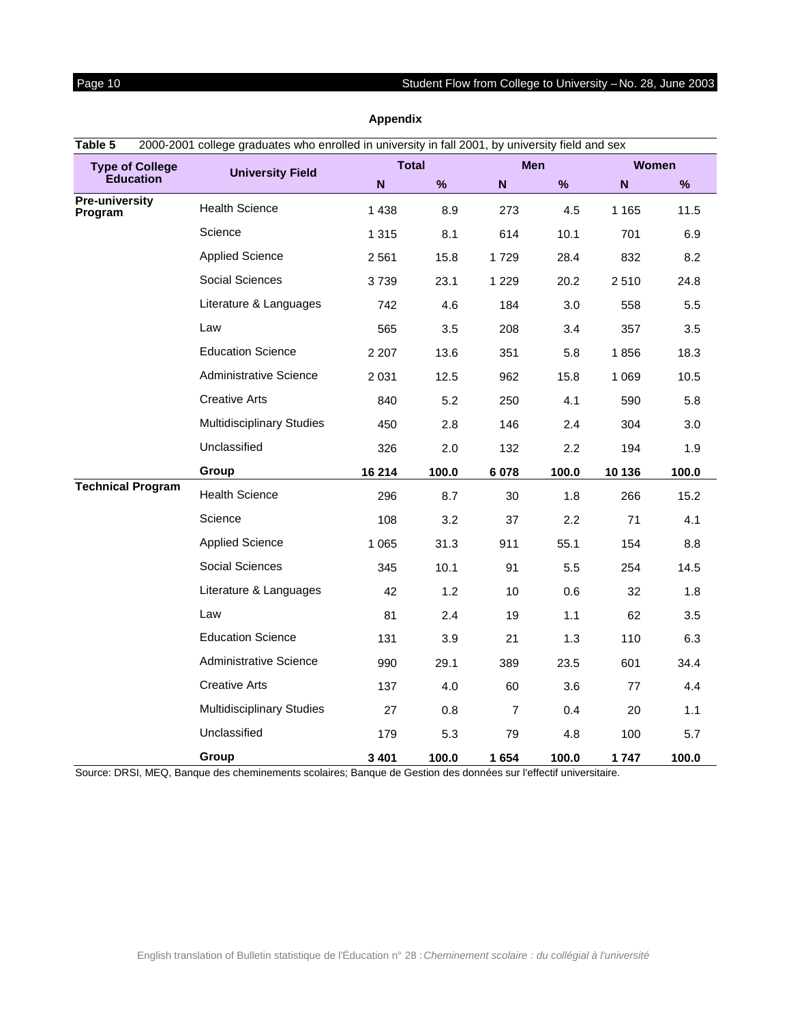<span id="page-9-0"></span>

| Table 5                          | 2000-2001 college graduates who enrolled in university in fall 2001, by university field and sex |              |       |                |       |             |              |
|----------------------------------|--------------------------------------------------------------------------------------------------|--------------|-------|----------------|-------|-------------|--------------|
| <b>Type of College</b>           | <b>University Field</b>                                                                          | <b>Total</b> |       | <b>Men</b>     |       |             | <b>Women</b> |
| <b>Education</b>                 |                                                                                                  | N            | %     | $\mathbf N$    | %     | $\mathbf N$ | %            |
| <b>Pre-university</b><br>Program | <b>Health Science</b>                                                                            | 1 4 3 8      | 8.9   | 273            | 4.5   | 1 1 6 5     | 11.5         |
|                                  | Science                                                                                          | 1 3 1 5      | 8.1   | 614            | 10.1  | 701         | 6.9          |
|                                  | <b>Applied Science</b>                                                                           | 2 5 6 1      | 15.8  | 1729           | 28.4  | 832         | 8.2          |
|                                  | Social Sciences                                                                                  | 3739         | 23.1  | 1 2 2 9        | 20.2  | 2510        | 24.8         |
|                                  | Literature & Languages                                                                           | 742          | 4.6   | 184            | 3.0   | 558         | 5.5          |
|                                  | Law                                                                                              | 565          | 3.5   | 208            | 3.4   | 357         | 3.5          |
|                                  | <b>Education Science</b>                                                                         | 2 2 0 7      | 13.6  | 351            | 5.8   | 1856        | 18.3         |
|                                  | Administrative Science                                                                           | 2 0 3 1      | 12.5  | 962            | 15.8  | 1 0 6 9     | 10.5         |
|                                  | <b>Creative Arts</b>                                                                             | 840          | 5.2   | 250            | 4.1   | 590         | 5.8          |
|                                  | <b>Multidisciplinary Studies</b>                                                                 | 450          | 2.8   | 146            | 2.4   | 304         | 3.0          |
|                                  | Unclassified                                                                                     | 326          | 2.0   | 132            | 2.2   | 194         | 1.9          |
|                                  | Group                                                                                            | 16 214       | 100.0 | 6 0 78         | 100.0 | 10 136      | 100.0        |
| <b>Technical Program</b>         | <b>Health Science</b>                                                                            | 296          | 8.7   | 30             | 1.8   | 266         | 15.2         |
|                                  | Science                                                                                          | 108          | 3.2   | 37             | 2.2   | 71          | 4.1          |
|                                  | <b>Applied Science</b>                                                                           | 1 0 6 5      | 31.3  | 911            | 55.1  | 154         | 8.8          |
|                                  | Social Sciences                                                                                  | 345          | 10.1  | 91             | 5.5   | 254         | 14.5         |
|                                  | Literature & Languages                                                                           | 42           | 1.2   | 10             | 0.6   | 32          | 1.8          |
|                                  | Law                                                                                              | 81           | 2.4   | 19             | 1.1   | 62          | 3.5          |
|                                  | <b>Education Science</b>                                                                         | 131          | 3.9   | 21             | 1.3   | 110         | 6.3          |
|                                  | Administrative Science                                                                           | 990          | 29.1  | 389            | 23.5  | 601         | 34.4         |
|                                  | <b>Creative Arts</b>                                                                             | 137          | 4.0   | 60             | 3.6   | 77          | 4.4          |
|                                  | <b>Multidisciplinary Studies</b>                                                                 | 27           | 0.8   | $\overline{7}$ | 0.4   | 20          | 1.1          |
|                                  | Unclassified                                                                                     | 179          | 5.3   | 79             | 4.8   | 100         | 5.7          |
|                                  | Group                                                                                            | 3 4 0 1      | 100.0 | 1654           | 100.0 | 1747        | 100.0        |

Source: DRSI, MEQ, Banque des cheminements scolaires; Banque de Gestion des données sur l'effectif universitaire.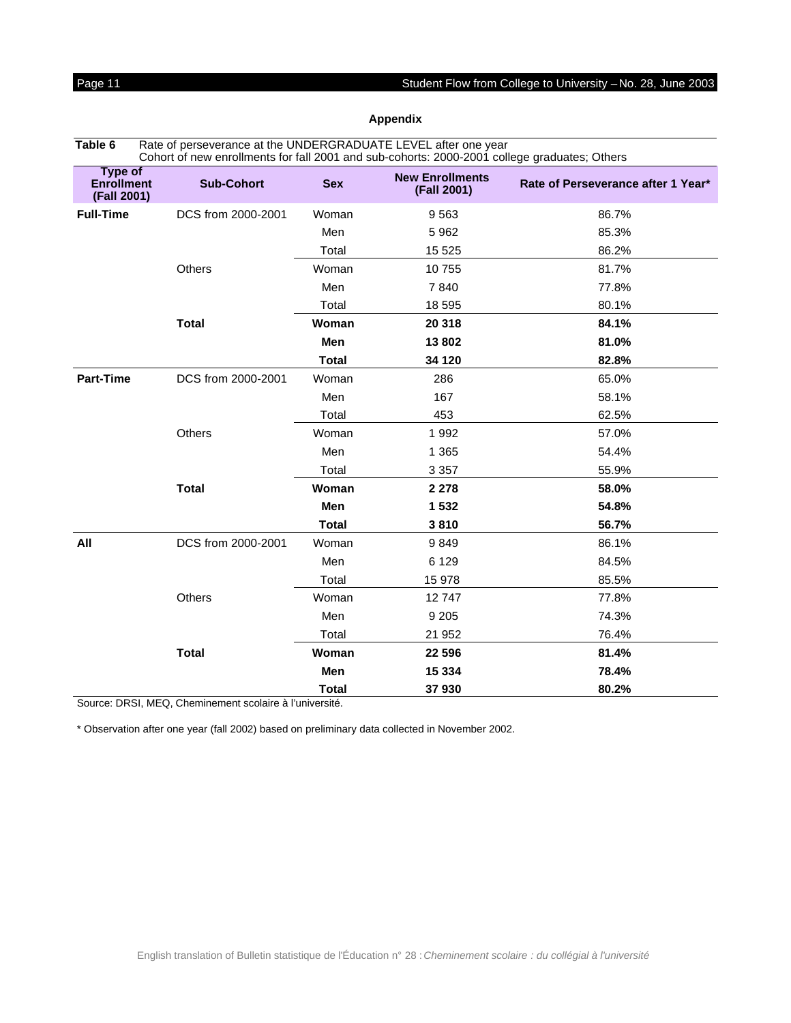<span id="page-10-0"></span>

| Rate of perseverance at the UNDERGRADUATE LEVEL after one year<br>Table 6<br>Cohort of new enrollments for fall 2001 and sub-cohorts: 2000-2001 college graduates; Others |                    |              |                                       |                                    |
|---------------------------------------------------------------------------------------------------------------------------------------------------------------------------|--------------------|--------------|---------------------------------------|------------------------------------|
| <b>Type of</b><br><b>Enrollment</b><br>(Fall 2001)                                                                                                                        | <b>Sub-Cohort</b>  | <b>Sex</b>   | <b>New Enrollments</b><br>(Fall 2001) | Rate of Perseverance after 1 Year* |
| <b>Full-Time</b>                                                                                                                                                          | DCS from 2000-2001 | Woman        | 9563                                  | 86.7%                              |
|                                                                                                                                                                           |                    | Men          | 5962                                  | 85.3%                              |
|                                                                                                                                                                           |                    | Total        | 15 5 25                               | 86.2%                              |
|                                                                                                                                                                           | Others             | Woman        | 10755                                 | 81.7%                              |
|                                                                                                                                                                           |                    | Men          | 7840                                  | 77.8%                              |
|                                                                                                                                                                           |                    | Total        | 18 595                                | 80.1%                              |
|                                                                                                                                                                           | <b>Total</b>       | Woman        | 20 318                                | 84.1%                              |
|                                                                                                                                                                           |                    | Men          | 13802                                 | 81.0%                              |
|                                                                                                                                                                           |                    | <b>Total</b> | 34 120                                | 82.8%                              |
| <b>Part-Time</b>                                                                                                                                                          | DCS from 2000-2001 | Woman        | 286                                   | 65.0%                              |
|                                                                                                                                                                           |                    | Men          | 167                                   | 58.1%                              |
|                                                                                                                                                                           |                    | Total        | 453                                   | 62.5%                              |
|                                                                                                                                                                           | Others             | Woman        | 1992                                  | 57.0%                              |
|                                                                                                                                                                           |                    | Men          | 1 3 6 5                               | 54.4%                              |
|                                                                                                                                                                           |                    | Total        | 3 3 5 7                               | 55.9%                              |
|                                                                                                                                                                           | <b>Total</b>       | Woman        | 2 2 7 8                               | 58.0%                              |
|                                                                                                                                                                           |                    | Men          | 1 5 3 2                               | 54.8%                              |
|                                                                                                                                                                           |                    | <b>Total</b> | 3810                                  | 56.7%                              |
| All                                                                                                                                                                       | DCS from 2000-2001 | Woman        | 9849                                  | 86.1%                              |
|                                                                                                                                                                           |                    | Men          | 6 1 2 9                               | 84.5%                              |
|                                                                                                                                                                           |                    | Total        | 15 978                                | 85.5%                              |
|                                                                                                                                                                           | Others             | Woman        | 12747                                 | 77.8%                              |
|                                                                                                                                                                           |                    | Men          | 9 2 0 5                               | 74.3%                              |
|                                                                                                                                                                           |                    | Total        | 21 952                                | 76.4%                              |
|                                                                                                                                                                           | <b>Total</b>       | Woman        | 22 5 9 6                              | 81.4%                              |
|                                                                                                                                                                           |                    | Men          | 15 3 34                               | 78.4%                              |
|                                                                                                                                                                           |                    | <b>Total</b> | 37930                                 | 80.2%                              |

Source: DRSI, MEQ, Cheminement scolaire à l'université.

\* Observation after one year (fall 2002) based on preliminary data collected in November 2002.